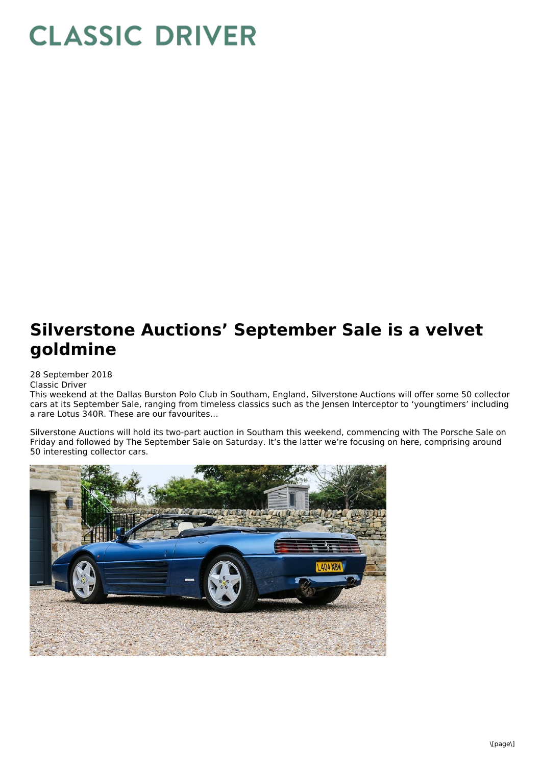## **CLASSIC DRIVER**

## **Silverstone Auctions' September Sale is a velvet goldmine**

28 September 2018

Classic Driver

This weekend at the Dallas Burston Polo Club in Southam, England, Silverstone Auctions will offer some 50 collector cars at its September Sale, ranging from timeless classics such as the Jensen Interceptor to 'youngtimers' including a rare Lotus 340R. These are our favourites…

Silverstone Auctions will hold its two-part auction in Southam this weekend, commencing with The Porsche Sale on Friday and followed by The September Sale on Saturday. It's the latter we're focusing on here, comprising around 50 interesting collector cars.